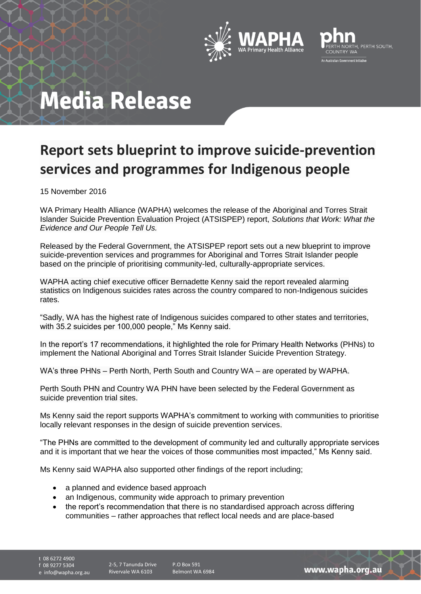



# **Media Release**

### **Report sets blueprint to improve suicide-prevention services and programmes for Indigenous people**

15 November 2016

WA Primary Health Alliance (WAPHA) welcomes the release of the Aboriginal and Torres Strait Islander Suicide Prevention Evaluation Project (ATSISPEP) report, *Solutions that Work: What the Evidence and Our People Tell Us.*

Released by the Federal Government, the ATSISPEP report sets out a new blueprint to improve suicide-prevention services and programmes for Aboriginal and Torres Strait Islander people based on the principle of prioritising community-led, culturally-appropriate services.

WAPHA acting chief executive officer Bernadette Kenny said the report revealed alarming statistics on Indigenous suicides rates across the country compared to non-Indigenous suicides rates.

"Sadly, WA has the highest rate of Indigenous suicides compared to other states and territories, with 35.2 suicides per 100,000 people," Ms Kenny said.

In the report's 17 recommendations, it highlighted the role for Primary Health Networks (PHNs) to implement the National Aboriginal and Torres Strait Islander Suicide Prevention Strategy.

WA's three PHNs – Perth North, Perth South and Country WA – are operated by WAPHA.

Perth South PHN and Country WA PHN have been selected by the Federal Government as suicide prevention trial sites.

Ms Kenny said the report supports WAPHA's commitment to working with communities to prioritise locally relevant responses in the design of suicide prevention services.

"The PHNs are committed to the development of community led and culturally appropriate services and it is important that we hear the voices of those communities most impacted," Ms Kenny said.

Ms Kenny said WAPHA also supported other findings of the report including;

- a planned and evidence based approach
- an Indigenous, community wide approach to primary prevention
- the report's recommendation that there is no standardised approach across differing communities – rather approaches that reflect local needs and are place-based

t 08 6272 4900 f 08 9277 5304

e info@wapha.org.au

2-5, 7 Tanunda Drive Rivervale WA 6103

P.O Box 591 Belmont WA 6984

www.wapha.org.au